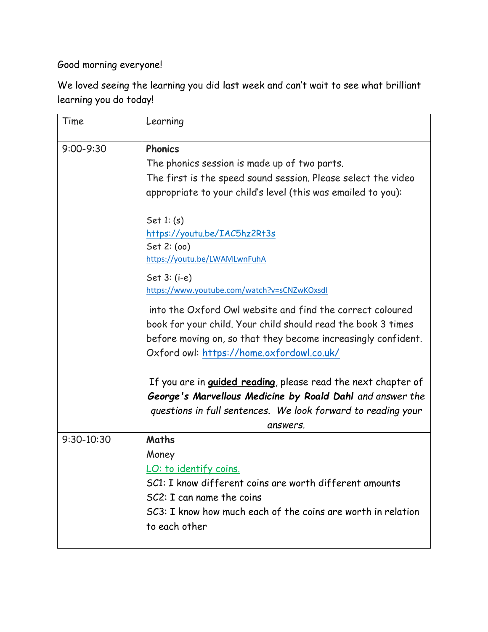Good morning everyone!

We loved seeing the learning you did last week and can't wait to see what brilliant learning you do today!

| Time           | Learning                                                                                                                                                                                                                                |
|----------------|-----------------------------------------------------------------------------------------------------------------------------------------------------------------------------------------------------------------------------------------|
| $9:00 - 9:30$  | <b>Phonics</b><br>The phonics session is made up of two parts.<br>The first is the speed sound session. Please select the video<br>appropriate to your child's level (this was emailed to you):                                         |
|                | Set $1: (s)$<br>https://youtu.be/IAC5hz2Rt3s<br>Set 2: (oo)<br>https://youtu.be/LWAMLwnFuhA                                                                                                                                             |
|                | Set $3: (i-e)$<br>https://www.youtube.com/watch?v=sCNZwKOxsdl                                                                                                                                                                           |
|                | into the Oxford Owl website and find the correct coloured<br>book for your child. Your child should read the book 3 times<br>before moving on, so that they become increasingly confident.<br>Oxford owl: https://home.oxfordowl.co.uk/ |
|                | If you are in <i>guided reading</i> , please read the next chapter of<br>George's Marvellous Medicine by Roald Dahl and answer the<br>questions in full sentences. We look forward to reading your<br>answers.                          |
| $9:30 - 10:30$ | Maths<br>Money<br><u>LO: to identify coins</u><br>SC1: I know different coins are worth different amounts<br>$SC2$ : I can name the coins<br>SC3: I know how much each of the coins are worth in relation<br>to each other              |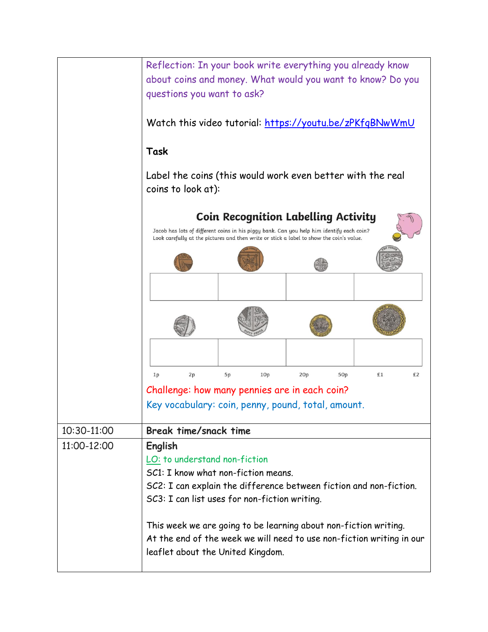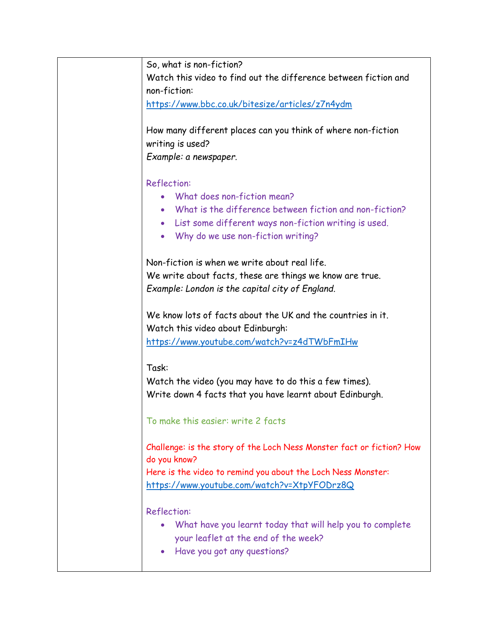So, what is non-fiction? Watch this video to find out the difference between fiction and non-fiction:

<https://www.bbc.co.uk/bitesize/articles/z7n4ydm>

How many different places can you think of where non-fiction writing is used?

*Example: a newspaper.* 

## Reflection:

- What does non-fiction mean?
- What is the difference between fiction and non-fiction?
- List some different ways non-fiction writing is used.
- Why do we use non-fiction writing?

Non-fiction is when we write about real life. We write about facts, these are things we know are true. *Example: London is the capital city of England.*

We know lots of facts about the UK and the countries in it. Watch this video about Edinburgh: <https://www.youtube.com/watch?v=z4dTWbFmIHw>

Task:

Watch the video (you may have to do this a few times). Write down 4 facts that you have learnt about Edinburgh.

To make this easier: write 2 facts

Challenge: is the story of the Loch Ness Monster fact or fiction? How do you know? Here is the video to remind you about the Loch Ness Monster: <https://www.youtube.com/watch?v=XtpYFODrz8Q>

Reflection:

- What have you learnt today that will help you to complete your leaflet at the end of the week?
- Have you got any questions?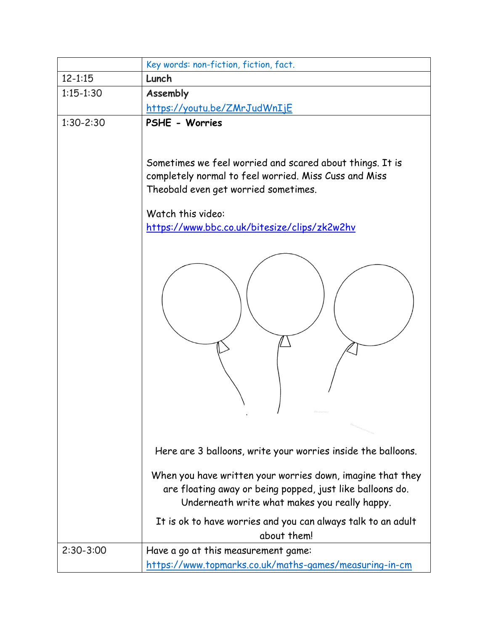|               | Key words: non-fiction, fiction, fact.                                                                                                                                                                                                   |
|---------------|------------------------------------------------------------------------------------------------------------------------------------------------------------------------------------------------------------------------------------------|
| $12 - 1:15$   | Lunch                                                                                                                                                                                                                                    |
| $1:15 - 1:30$ | Assembly                                                                                                                                                                                                                                 |
|               | <u> https://youtu.be/ZMrJudWnIjE</u>                                                                                                                                                                                                     |
| $1:30-2:30$   | PSHE - Worries                                                                                                                                                                                                                           |
|               | Sometimes we feel worried and scared about things. It is<br>completely normal to feel worried. Miss Cuss and Miss<br>Theobald even get worried sometimes.                                                                                |
|               | Watch this video:                                                                                                                                                                                                                        |
|               | https://www.bbc.co.uk/bitesize/clips/zk2w2hv                                                                                                                                                                                             |
|               |                                                                                                                                                                                                                                          |
|               |                                                                                                                                                                                                                                          |
|               | Here are 3 balloons, write your worries inside the balloons.                                                                                                                                                                             |
|               | When you have written your worries down, imagine that they<br>are floating away or being popped, just like balloons do.<br>Underneath write what makes you really happy.<br>It is ok to have worries and you can always talk to an adult |
|               | about them!                                                                                                                                                                                                                              |
| $2:30-3:00$   | Have a go at this measurement game:                                                                                                                                                                                                      |
|               | https://www.topmarks.co.uk/maths-games/measuring-in-cm                                                                                                                                                                                   |